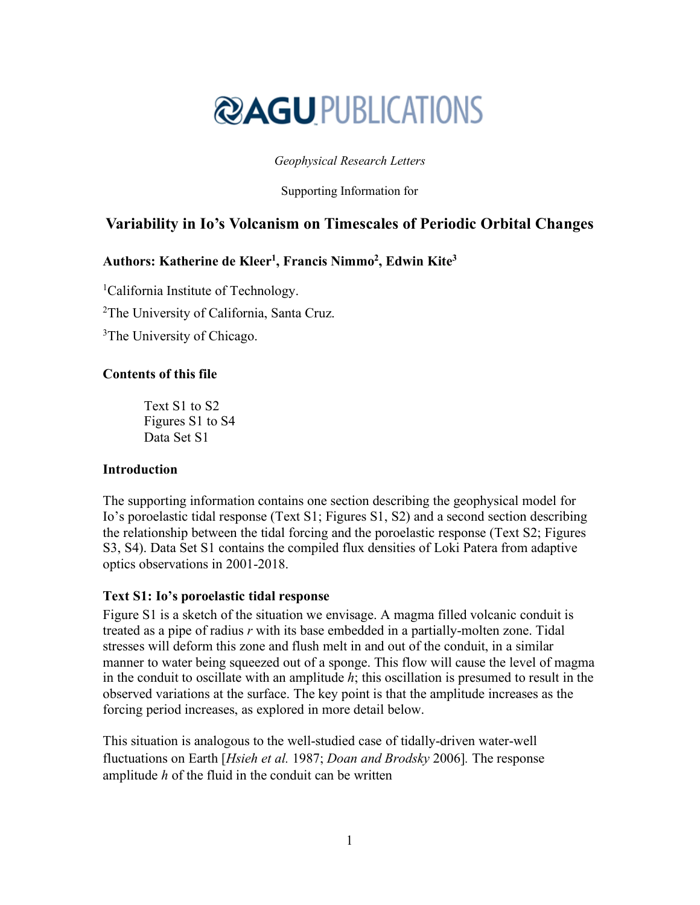# **@AGU PUBLICATIONS**

#### *Geophysical Research Letters*

Supporting Information for

# **Variability in Io's Volcanism on Timescales of Periodic Orbital Changes**

## **Authors: Katherine de Kleer1, Francis Nimmo2 , Edwin Kite3**

<sup>1</sup>California Institute of Technology. <sup>2</sup>The University of California, Santa Cruz. <sup>3</sup>The University of Chicago.

## **Contents of this file**

Text S1 to S2 Figures S1 to S4 Data Set S1

#### **Introduction**

The supporting information contains one section describing the geophysical model for Io's poroelastic tidal response (Text S1; Figures S1, S2) and a second section describing the relationship between the tidal forcing and the poroelastic response (Text S2; Figures S3, S4). Data Set S1 contains the compiled flux densities of Loki Patera from adaptive optics observations in 2001-2018.

#### **Text S1: Io's poroelastic tidal response**

Figure S1 is a sketch of the situation we envisage. A magma filled volcanic conduit is treated as a pipe of radius *r* with its base embedded in a partially-molten zone. Tidal stresses will deform this zone and flush melt in and out of the conduit, in a similar manner to water being squeezed out of a sponge. This flow will cause the level of magma in the conduit to oscillate with an amplitude *h*; this oscillation is presumed to result in the observed variations at the surface. The key point is that the amplitude increases as the forcing period increases, as explored in more detail below.

This situation is analogous to the well-studied case of tidally-driven water-well fluctuations on Earth [*Hsieh et al.* 1987; *Doan and Brodsky* 2006]*.* The response amplitude *h* of the fluid in the conduit can be written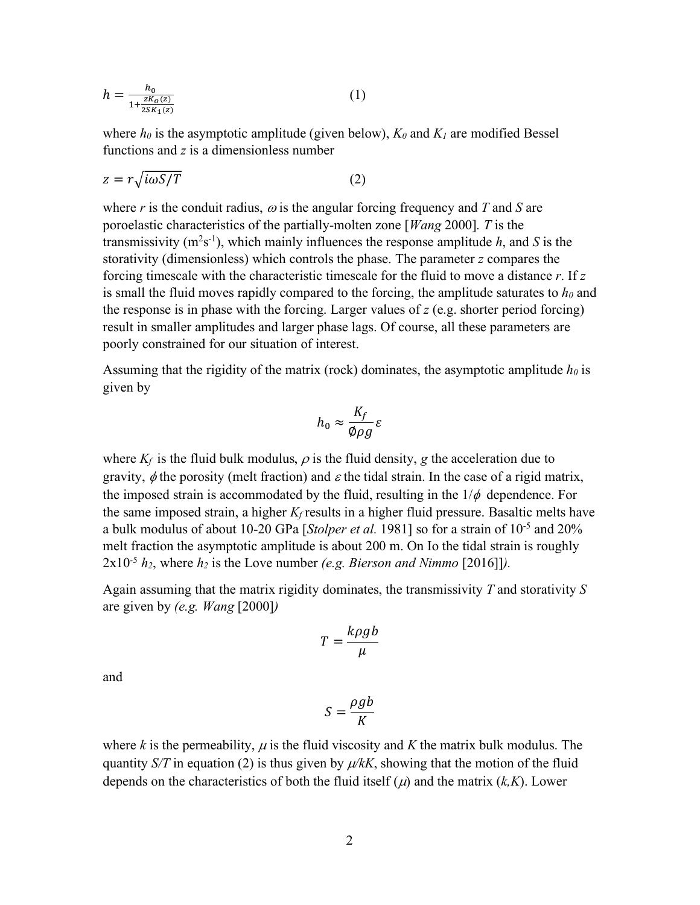$$
h = \frac{h_0}{1 + \frac{zK_0(z)}{2SK_1(z)}}
$$
(1)

where  $h_0$  is the asymptotic amplitude (given below),  $K_0$  and  $K_1$  are modified Bessel functions and *z* is a dimensionless number

$$
z = r\sqrt{i\omega S/T} \tag{2}
$$

where  $r$  is the conduit radius,  $\omega$  is the angular forcing frequency and  $T$  and  $S$  are poroelastic characteristics of the partially-molten zone [*Wang* 2000]*. T* is the transmissivity  $(m^2s^{-1})$ , which mainly influences the response amplitude *h*, and *S* is the storativity (dimensionless) which controls the phase. The parameter *z* compares the forcing timescale with the characteristic timescale for the fluid to move a distance *r*. If *z* is small the fluid moves rapidly compared to the forcing, the amplitude saturates to  $h_0$  and the response is in phase with the forcing. Larger values of *z* (e.g. shorter period forcing) result in smaller amplitudes and larger phase lags. Of course, all these parameters are poorly constrained for our situation of interest.

Assuming that the rigidity of the matrix (rock) dominates, the asymptotic amplitude  $h_0$  is given by

$$
h_0 \approx \frac{K_f}{\phi \rho g} \varepsilon
$$

where  $K_f$  is the fluid bulk modulus,  $\rho$  is the fluid density, *g* the acceleration due to gravity,  $\phi$  the porosity (melt fraction) and  $\varepsilon$  the tidal strain. In the case of a rigid matrix, the imposed strain is accommodated by the fluid, resulting in the  $1/\phi$  dependence. For the same imposed strain, a higher  $K_f$  results in a higher fluid pressure. Basaltic melts have a bulk modulus of about 10-20 GPa [*Stolper et al.* 1981] so for a strain of 10-5 and 20% melt fraction the asymptotic amplitude is about 200 m. On Io the tidal strain is roughly  $2x10^{-5} h_2$ , where  $h_2$  is the Love number *(e.g. Bierson and Nimmo* [2016]]).

Again assuming that the matrix rigidity dominates, the transmissivity *T* and storativity *S* are given by *(e.g. Wang* [2000]*)*

$$
T = \frac{k\rho g b}{\mu}
$$

and

$$
S = \frac{\rho g b}{K}
$$

where *k* is the permeability,  $\mu$  is the fluid viscosity and *K* the matrix bulk modulus. The quantity *S/T* in equation (2) is thus given by  $\mu/kK$ , showing that the motion of the fluid depends on the characteristics of both the fluid itself  $(\mu)$  and the matrix  $(k,K)$ . Lower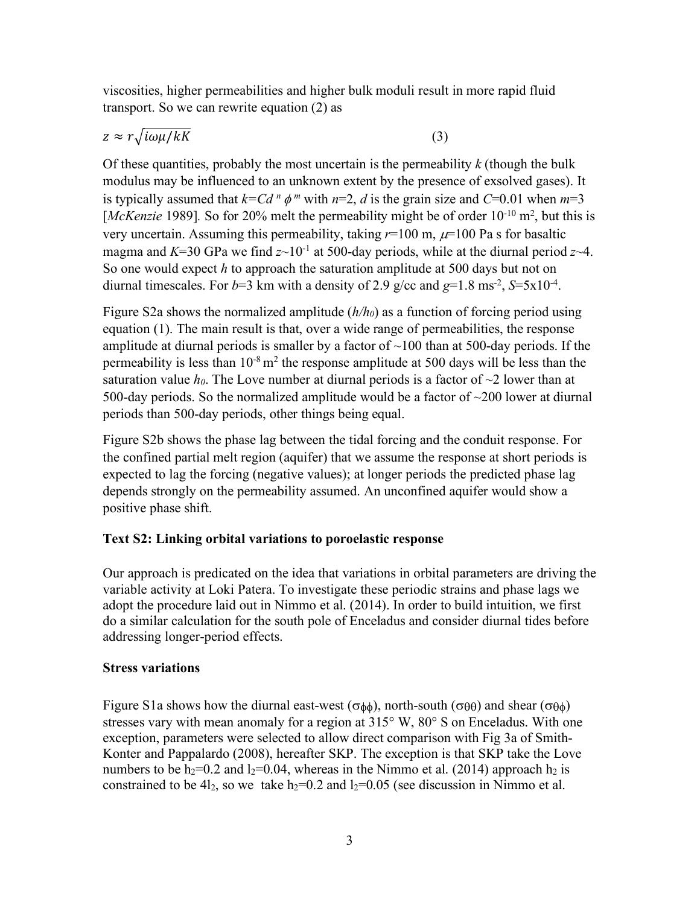viscosities, higher permeabilities and higher bulk moduli result in more rapid fluid transport. So we can rewrite equation (2) as

 $z \approx r \sqrt{i \omega \mu / kK}$  (3)

Of these quantities, probably the most uncertain is the permeability *k* (though the bulk modulus may be influenced to an unknown extent by the presence of exsolved gases). It is typically assumed that  $k = C d^n \phi^m$  with  $n=2$ , *d* is the grain size and  $C=0.01$  when  $m=3$ [*McKenzie* 1989]. So for 20% melt the permeability might be of order 10<sup>-10</sup> m<sup>2</sup>, but this is very uncertain. Assuming this permeability, taking  $r=100$  m,  $\mu=100$  Pa s for basaltic magma and  $K=30$  GPa we find  $z \sim 10^{-1}$  at 500-day periods, while at the diurnal period  $z \sim 4$ . So one would expect *h* to approach the saturation amplitude at 500 days but not on diurnal timescales. For  $b=3$  km with a density of 2.9 g/cc and  $g=1.8$  ms<sup>-2</sup>,  $S=5x10^{-4}$ .

Figure S2a shows the normalized amplitude (*h/h0*) as a function of forcing period using equation (1). The main result is that, over a wide range of permeabilities, the response amplitude at diurnal periods is smaller by a factor of  $\sim$ 100 than at 500-day periods. If the permeability is less than  $10^{-8}$  m<sup>2</sup> the response amplitude at 500 days will be less than the saturation value  $h_0$ . The Love number at diurnal periods is a factor of  $\sim$ 2 lower than at 500-day periods. So the normalized amplitude would be a factor of  $\sim$ 200 lower at diurnal periods than 500-day periods, other things being equal.

Figure S2b shows the phase lag between the tidal forcing and the conduit response. For the confined partial melt region (aquifer) that we assume the response at short periods is expected to lag the forcing (negative values); at longer periods the predicted phase lag depends strongly on the permeability assumed. An unconfined aquifer would show a positive phase shift.

#### **Text S2: Linking orbital variations to poroelastic response**

Our approach is predicated on the idea that variations in orbital parameters are driving the variable activity at Loki Patera. To investigate these periodic strains and phase lags we adopt the procedure laid out in Nimmo et al. (2014). In order to build intuition, we first do a similar calculation for the south pole of Enceladus and consider diurnal tides before addressing longer-period effects.

#### **Stress variations**

Figure S1a shows how the diurnal east-west ( $\sigma_{\phi\phi}$ ), north-south ( $\sigma_{\theta\theta}$ ) and shear ( $\sigma_{\theta\phi}$ ) stresses vary with mean anomaly for a region at 315° W, 80° S on Enceladus. With one exception, parameters were selected to allow direct comparison with Fig 3a of Smith-Konter and Pappalardo (2008), hereafter SKP. The exception is that SKP take the Love numbers to be  $h_2=0.2$  and  $l_2=0.04$ , whereas in the Nimmo et al. (2014) approach  $h_2$  is constrained to be 4l<sub>2</sub>, so we take  $h_2=0.2$  and  $l_2=0.05$  (see discussion in Nimmo et al.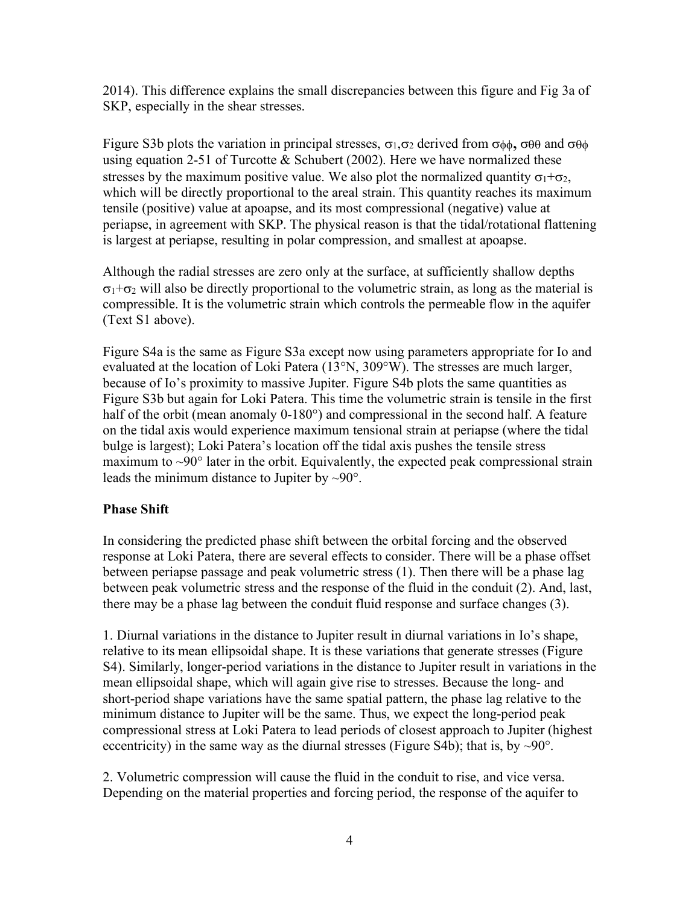2014). This difference explains the small discrepancies between this figure and Fig 3a of SKP, especially in the shear stresses.

Figure S3b plots the variation in principal stresses,  $\sigma_1, \sigma_2$  derived from  $\sigma_{\phi\phi}$ ,  $\sigma_{\theta\theta}$  and  $\sigma_{\theta\phi}$ using equation 2-51 of Turcotte  $&$  Schubert (2002). Here we have normalized these stresses by the maximum positive value. We also plot the normalized quantity  $\sigma_1+\sigma_2$ , which will be directly proportional to the areal strain. This quantity reaches its maximum tensile (positive) value at apoapse, and its most compressional (negative) value at periapse, in agreement with SKP. The physical reason is that the tidal/rotational flattening is largest at periapse, resulting in polar compression, and smallest at apoapse.

Although the radial stresses are zero only at the surface, at sufficiently shallow depths  $\sigma_1$ + $\sigma_2$  will also be directly proportional to the volumetric strain, as long as the material is compressible. It is the volumetric strain which controls the permeable flow in the aquifer (Text S1 above).

Figure S4a is the same as Figure S3a except now using parameters appropriate for Io and evaluated at the location of Loki Patera (13°N, 309°W). The stresses are much larger, because of Io's proximity to massive Jupiter. Figure S4b plots the same quantities as Figure S3b but again for Loki Patera. This time the volumetric strain is tensile in the first half of the orbit (mean anomaly 0-180°) and compressional in the second half. A feature on the tidal axis would experience maximum tensional strain at periapse (where the tidal bulge is largest); Loki Patera's location off the tidal axis pushes the tensile stress maximum to  $\sim 90^\circ$  later in the orbit. Equivalently, the expected peak compressional strain leads the minimum distance to Jupiter by ~90°.

#### **Phase Shift**

In considering the predicted phase shift between the orbital forcing and the observed response at Loki Patera, there are several effects to consider. There will be a phase offset between periapse passage and peak volumetric stress (1). Then there will be a phase lag between peak volumetric stress and the response of the fluid in the conduit (2). And, last, there may be a phase lag between the conduit fluid response and surface changes (3).

1. Diurnal variations in the distance to Jupiter result in diurnal variations in Io's shape, relative to its mean ellipsoidal shape. It is these variations that generate stresses (Figure S4). Similarly, longer-period variations in the distance to Jupiter result in variations in the mean ellipsoidal shape, which will again give rise to stresses. Because the long- and short-period shape variations have the same spatial pattern, the phase lag relative to the minimum distance to Jupiter will be the same. Thus, we expect the long-period peak compressional stress at Loki Patera to lead periods of closest approach to Jupiter (highest eccentricity) in the same way as the diurnal stresses (Figure S4b); that is, by  $\sim 90^\circ$ .

2. Volumetric compression will cause the fluid in the conduit to rise, and vice versa. Depending on the material properties and forcing period, the response of the aquifer to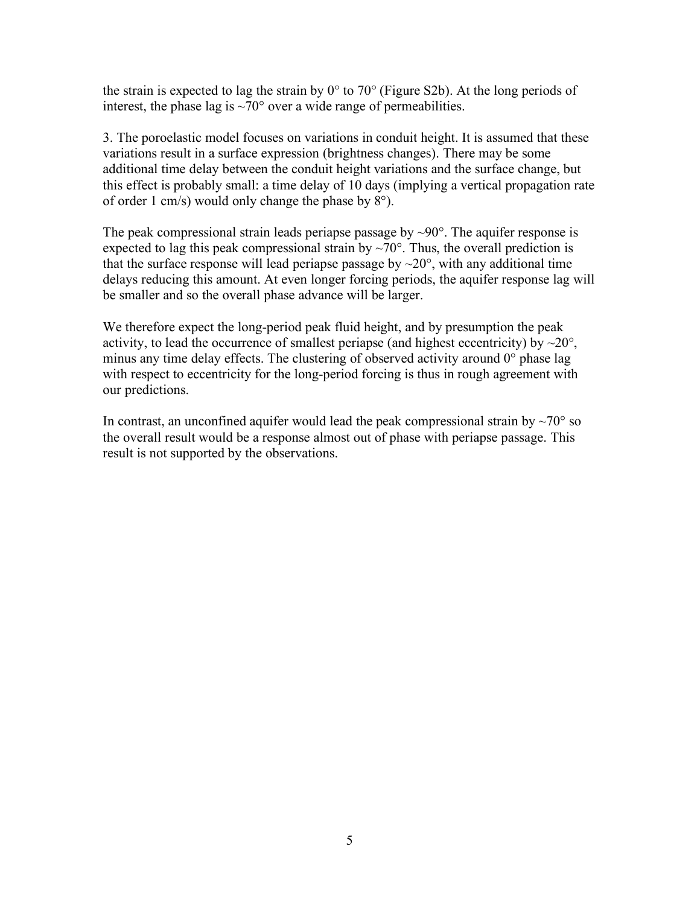the strain is expected to lag the strain by 0° to 70° (Figure S2b). At the long periods of interest, the phase lag is  $\sim 70^{\circ}$  over a wide range of permeabilities.

3. The poroelastic model focuses on variations in conduit height. It is assumed that these variations result in a surface expression (brightness changes). There may be some additional time delay between the conduit height variations and the surface change, but this effect is probably small: a time delay of 10 days (implying a vertical propagation rate of order 1 cm/s) would only change the phase by 8°).

The peak compressional strain leads periapse passage by  $\sim 90^\circ$ . The aquifer response is expected to lag this peak compressional strain by  $\sim 70^{\circ}$ . Thus, the overall prediction is that the surface response will lead periapse passage by  $\sim$ 20 $^{\circ}$ , with any additional time delays reducing this amount. At even longer forcing periods, the aquifer response lag will be smaller and so the overall phase advance will be larger.

We therefore expect the long-period peak fluid height, and by presumption the peak activity, to lead the occurrence of smallest periapse (and highest eccentricity) by  $\sim$ 20 $^{\circ}$ , minus any time delay effects. The clustering of observed activity around 0° phase lag with respect to eccentricity for the long-period forcing is thus in rough agreement with our predictions.

In contrast, an unconfined aquifer would lead the peak compressional strain by  $\sim$ 70 $\degree$  so the overall result would be a response almost out of phase with periapse passage. This result is not supported by the observations.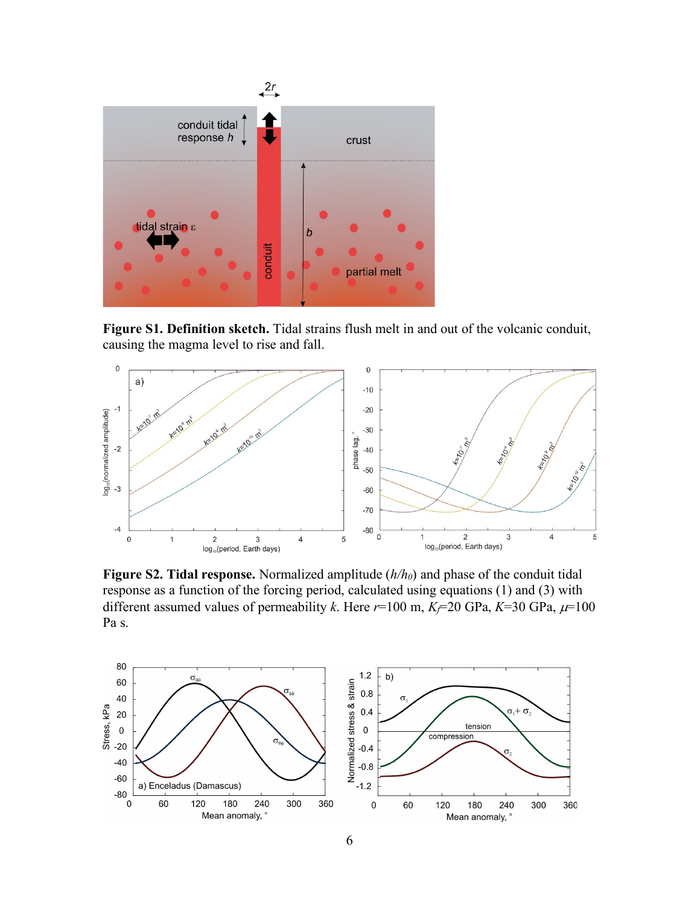

**Figure S1. Definition sketch.** Tidal strains flush melt in and out of the volcanic conduit, causing the magma level to rise and fall.



**Figure S2. Tidal response.** Normalized amplitude (*h/h0*) and phase of the conduit tidal response as a function of the forcing period, calculated using equations (1) and (3) with different assumed values of permeability *k*. Here  $r=100$  m,  $K=20$  GPa,  $K=30$  GPa,  $\mu=100$ Pa s.